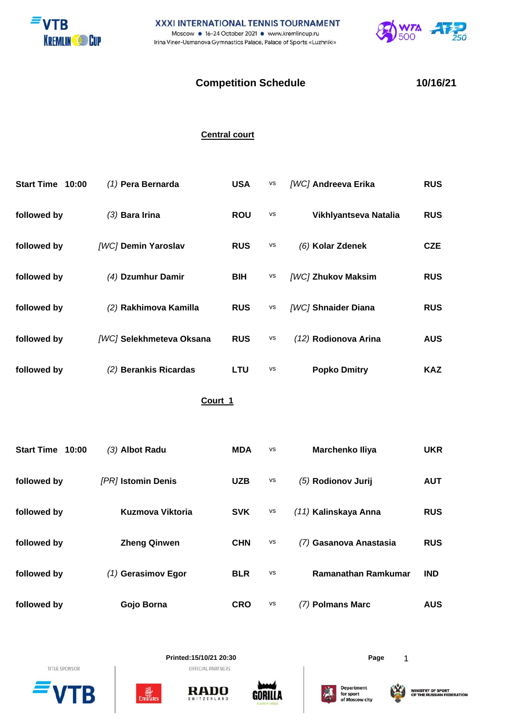



## **Competition Schedule 10/16/21**

## **Central court**

| Start Time 10:00 | $(1)$ Pera Bernarda        | <b>USA</b> | vs        | [WC] Andreeva Erika   | <b>RUS</b> |
|------------------|----------------------------|------------|-----------|-----------------------|------------|
| followed by      | $(3)$ Bara Irina           | <b>ROU</b> | <b>VS</b> | Vikhlyantseva Natalia | <b>RUS</b> |
| followed by      | <b>[WC] Demin Yaroslav</b> | <b>RUS</b> | vs        | (6) Kolar Zdenek      | <b>CZE</b> |
| followed by      | (4) Dzumhur Damir          | BIH        | vs        | [WC] Zhukov Maksim    | <b>RUS</b> |
| followed by      | (2) Rakhimova Kamilla      | <b>RUS</b> | VS        | [WC] Shnaider Diana   | <b>RUS</b> |
| followed by      | [WC] Selekhmeteva Oksana   | <b>RUS</b> | vs        | (12) Rodionova Arina  | <b>AUS</b> |
| followed by      | (2) Berankis Ricardas      | LTU        | vs        | <b>Popko Dmitry</b>   | <b>KAZ</b> |

## **Court 1**

| Start Time 10:00 | (3) Albot Radu       | <b>MDA</b> | <b>VS</b> | Marchenko Iliya        | <b>UKR</b> |
|------------------|----------------------|------------|-----------|------------------------|------------|
| followed by      | [PR] Istomin Denis   | <b>UZB</b> | vs        | (5) Rodionov Jurij     | <b>AUT</b> |
| followed by      | Kuzmova Viktoria     | <b>SVK</b> | vs        | (11) Kalinskaya Anna   | <b>RUS</b> |
| followed by      | <b>Zheng Qinwen</b>  | <b>CHN</b> | <b>VS</b> | (7) Gasanova Anastasia | <b>RUS</b> |
| followed by      | $(1)$ Gerasimov Egor | <b>BLR</b> | <b>VS</b> | Ramanathan Ramkumar    | <b>IND</b> |
| followed by      | Gojo Borna           | <b>CRO</b> | <b>VS</b> | (7) Polmans Marc       | <b>AUS</b> |



B

ally<br>Emirate

**Printed:15/10/21 20:30 Page** 1

**RADO** 

RLAND